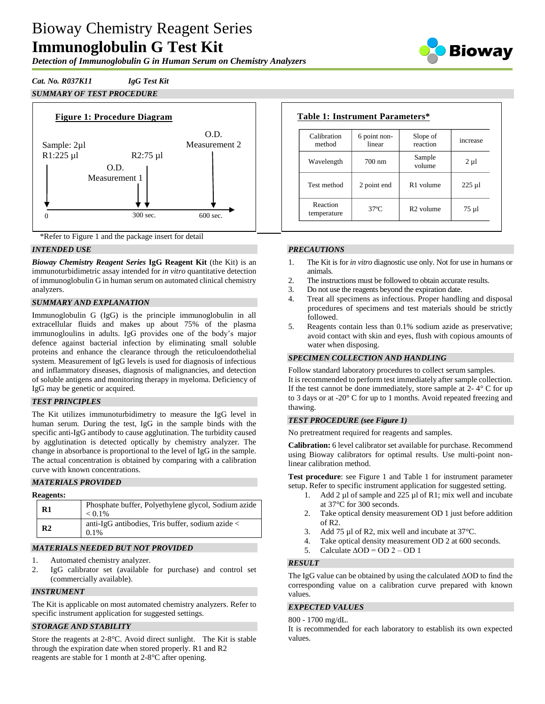# Bioway Chemistry Reagent Series **Immunoglobulin G Test Kit**

*Detection of Immunoglobulin G in Human Serum on Chemistry Analyzers*



## *Cat. No. R037K11 IgG Test Kit*





\*Refer to Figure 1 and the package insert for detail

### *INTENDED USE*

*Bioway Chemistry Reagent Series* **IgG Reagent Kit** (the Kit) is an immunoturbidimetric assay intended for *in vitro* quantitative detection of immunoglobulin G in human serum on automated clinical chemistry analyzers.

### *SUMMARY AND EXPLANATION*

Immunoglobulin G (IgG) is the principle immunoglobulin in all extracellular fluids and makes up about 75% of the plasma immunogloulins in adults. IgG provides one of the body's major defence against bacterial infection by eliminating small soluble proteins and enhance the clearance through the reticuloendothelial system. Measurement of IgG levels is used for diagnosis of infectious and inflammatory diseases, diagnosis of malignancies, and detection of soluble antigens and monitoring therapy in myeloma. Deficiency of IgG may be genetic or acquired.

#### *TEST PRINCIPLES*

The Kit utilizes immunoturbidimetry to measure the IgG level in human serum. During the test, IgG in the sample binds with the specific anti-IgG antibody to cause agglutination. The turbidity caused by agglutination is detected optically by chemistry analyzer. The change in absorbance is proportional to the level of IgG in the sample. The actual concentration is obtained by comparing with a calibration curve with known concentrations.

### *MATERIALS PROVIDED*

#### **Reagents:**

| ----------     |                                                                  |
|----------------|------------------------------------------------------------------|
| R1             | Phosphate buffer, Polyethylene glycol, Sodium azide<br>$< 0.1\%$ |
| R <sub>2</sub> | anti-IgG antibodies, Tris buffer, sodium azide <<br>$0.1\%$      |

#### *MATERIALS NEEDED BUT NOT PROVIDED*

- 1. Automated chemistry analyzer.
- 2. IgG calibrator set (available for purchase) and control set (commercially available).

#### *INSTRUMENT*

The Kit is applicable on most automated chemistry analyzers. Refer to specific instrument application for suggested settings.

#### *STORAGE AND STABILITY*

Store the reagents at 2-8°C. Avoid direct sunlight. The Kit is stable through the expiration date when stored properly. R1 and R2 reagents are stable for 1 month at 2-8°C after opening.

| Calibration<br>method   | 6 point non-<br>linear | Slope of<br>reaction  | increase  |
|-------------------------|------------------------|-----------------------|-----------|
| Wavelength              | $700 \text{ nm}$       | Sample<br>volume      | $2 \mu l$ |
| Test method             | 2 point end            | R <sub>1</sub> volume | $225 \mu$ |
| Reaction<br>temperature | $37^\circ$ C           | R <sub>2</sub> volume | 75 µl     |

#### *PRECAUTIONS*

- 1. The Kit is for *in vitro* diagnostic use only. Not for use in humans or animals.
- 2. The instructions must be followed to obtain accurate results.<br>3. Do not use the reagents beyond the expiration date.
- 3. Do not use the reagents beyond the expiration date.
- 4. Treat all specimens as infectious. Proper handling and disposal procedures of specimens and test materials should be strictly followed.
- 5. Reagents contain less than 0.1% sodium azide as preservative; avoid contact with skin and eyes, flush with copious amounts of water when disposing.

#### *SPECIMEN COLLECTION AND HANDLING*

Follow standard laboratory procedures to collect serum samples. It is recommended to perform test immediately after sample collection. If the test cannot be done immediately, store sample at  $2 - 4^\circ$  C for up to 3 days or at -20° C for up to 1 months. Avoid repeated freezing and thawing.

#### *TEST PROCEDURE (see Figure 1)*

No pretreatment required for reagents and samples.

**Calibration:** 6 level calibrator set available for purchase. Recommend using Bioway calibrators for optimal results. Use multi-point nonlinear calibration method.

**Test procedure**: see Figure 1 and Table 1 for instrument parameter setup. Refer to specific instrument application for suggested setting.

- Add 2  $\mu$ l of sample and 225  $\mu$ l of R1; mix well and incubate at 37°C for 300 seconds.
- 2. Take optical density measurement OD 1 just before addition of R2.
- 3. Add 75 µl of R2, mix well and incubate at 37°C.
- 4. Take optical density measurement OD 2 at 600 seconds.
- 5. Calculate  $\triangle$ OD = OD 2 OD 1

#### *RESULT*

The IgG value can be obtained by using the calculated ΔOD to find the corresponding value on a calibration curve prepared with known values.

#### *EXPECTED VALUES*

#### 800 - 1700 mg/dL.

It is recommended for each laboratory to establish its own expected values.